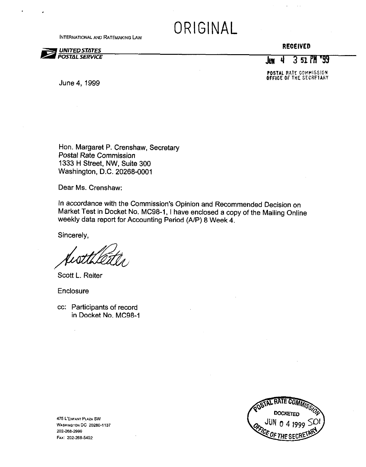**INTERNATIONAL AND RATEMAKING LAW** 

# ORIGINAL

### UNITED STATES<br>POSTAL SERVICE

#### RECEIVED

 $J_{\text{um}}$  4 3 51  $PM$  '99

POSTAL RATE COMMISSION. OFFICE OfTHE SECRFTARY

June 4. 1999

Hon. Margaret P. Crenshaw, Secretary Postal Rate Commission 1333 H Street, NW, Suite 300 Washington, D.C. 20268-0001

Dear Ms. Crenshaw:

In accordance with the Commission's Opinion and Recommended Decision on Market Test in Docket No. MC98-I, I have enclosed a copy of the Mailing Online weekly data report for Accounting Period (A/P) 8 Week 4.

Sincerely,

Scott L. Reiter

Enclosure

cc: Participants of record in Docket No. MC98-1



**475 L'ENFANT PLAZA SW** WASHINGTON DC 20260-1137 202-268-2999 Fax: 202-268-5402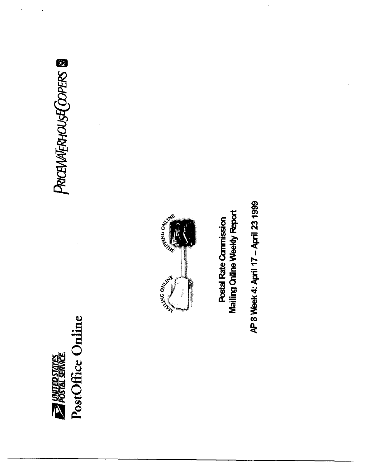# PostOffice Online **EXIGED ANTED STATES**

# PRICEWATERHOUSE COPERS ®



**Mailing Chline Weekly Report** Postal Rate Commission

AP 8 Week 4: April 17 - April 23 1999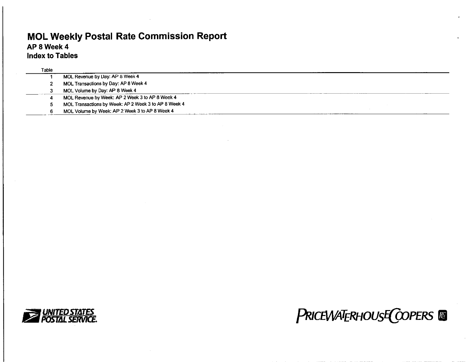#### MOL Weekly Postal Rate Commission Report AP 8 Week 4

Index to Tables

| Table |                                                      |  |
|-------|------------------------------------------------------|--|
|       | MOL Revenue by Day: AP 8 Week 4                      |  |
|       | MOL Transactions by Day: AP 8 Week 4                 |  |
|       | MOL Volume by Day: AP 8 Week 4                       |  |
|       | MOL Revenue by Week: AP 2 Week 3 to AP 8 Week 4      |  |
|       | MOL Transactions by Week: AP 2 Week 3 to AP 8 Week 4 |  |
|       | MOL Volume by Week: AP 2 Week 3 to AP 8 Week 4       |  |



## **PRICEWATERHOUSE COPERS**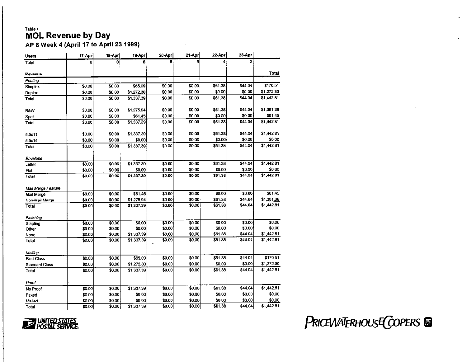#### Table 1 **MOL Revenue by Day**

AP 8 Week 4 (April 17 to April 23 1999)

| <b>Users</b>          | 17-Apr | 18-Apr | 19-Apr     | 20-Apr | 21-Apr | 22-Apr  | 23-Apr  |            |
|-----------------------|--------|--------|------------|--------|--------|---------|---------|------------|
| Total                 | Ō      | 0      | 6          | 5      | 5      | 4       |         |            |
| Revenue               |        |        |            |        |        |         |         | Total      |
| Printing              |        |        |            |        |        |         |         |            |
| Simplex               | \$0.00 | \$0.00 | \$65.09    | \$0.00 | \$0.00 | \$61.38 | \$44.04 | \$170.51   |
| <b>Duplex</b>         | \$0.00 | \$0.00 | \$1,272.30 | \$0.00 | \$0.00 | \$0.00  | \$0.00  | \$1,272.30 |
| Total                 | \$0.00 | \$0.00 | \$1,337.39 | \$0.00 | \$0.00 | \$61.38 | \$44.04 | \$1,442.81 |
| <b>B&amp;W</b>        | \$0.00 | \$0.00 | \$1,275.94 | \$0.00 | \$0.00 | \$61.38 | \$44.04 | \$1,381.36 |
| Spot                  | \$0.00 | \$0.00 | \$61.45    | \$0.00 | \$0.00 | \$0.00  | \$0.00  | \$61.45    |
| Total                 | \$0.00 | \$0.00 | \$1,337.39 | \$0.00 | \$0.00 | \$61.38 | \$44.04 | \$1,442.81 |
| 8.5x11                | \$0.00 | \$0.00 | \$1,337.39 | \$0.00 | \$0.00 | \$61.38 | \$44.04 | \$1,442.81 |
| 8.5x14                | \$0.00 | \$0.00 | \$0.00     | \$0.00 | \$0.00 | \$0.00  | \$0.00  | \$0.00     |
| <b>Total</b>          | \$0.00 | \$0.00 | \$1,337.39 | \$0.00 | \$0.00 | \$61.38 | \$44.04 | \$1,442.81 |
| Envelope              |        |        |            |        |        |         |         |            |
| Letter                | \$0.00 | \$0.00 | \$1,337.39 | \$0.00 | \$0.00 | \$61.38 | \$44.04 | \$1,442.81 |
| Flat                  | \$0.00 | \$0.00 | \$0.00     | \$0.00 | \$0.00 | \$0.00  | \$0.00  | \$0.00     |
| Total                 | \$0.00 | \$0.00 | \$1,337.39 | \$0.00 | \$0.00 | \$61.38 | \$44.04 | \$1,442.81 |
| Mail Merge Feature    |        |        |            |        |        |         |         |            |
| Mail Merge            | \$0.00 | \$0.00 | \$61.45    | \$0.00 | \$0.00 | \$0.00  | \$0.00  | \$61.45    |
| Non-Mail Merge        | \$0.00 | \$0.00 | \$1,275,94 | \$0.00 | \$0.00 | \$61.38 | \$44.04 | \$1,381.36 |
| Total                 | \$0.00 | \$0.00 | \$1,337.39 | \$0.00 | \$0.00 | \$61.38 | \$44.04 | \$1,442.81 |
| Finishing             |        |        |            |        |        |         |         |            |
| Stapling              | \$0.00 | \$0.00 | \$0.00     | \$0.00 | \$0.00 | \$0.00  | \$0.00  | \$0.00     |
| Other                 | \$0.00 | \$0.00 | \$0.00     | \$0.00 | \$0.00 | \$0.00  | \$0.00  | \$0.00     |
| None                  | \$0.00 | \$0.00 | \$1,337.39 | \$0.00 | \$0.00 | \$61.38 | \$44.04 | \$1,442.81 |
| Total                 | \$0.00 | \$0.00 | \$1,337.39 | \$0.00 | \$0.00 | \$61.38 | \$44.04 | \$1,442.81 |
| Mailing               |        |        |            |        |        |         |         |            |
| <b>First-Class</b>    | \$0.00 | \$0.00 | \$65.09    | \$0.00 | \$0.00 | \$61.38 | \$44.04 | \$170.51   |
| <b>Standard Class</b> | \$0.00 | \$0.00 | \$1,272.30 | \$0.00 | \$0.00 | \$0.00  | \$0.00  | \$1,272.30 |
| Total                 | \$0.00 | \$0.00 | \$1 337.39 | \$0.00 | \$0.00 | \$61.38 | \$44.04 | \$1,442.81 |
| Proof                 |        |        |            |        |        |         |         |            |
| No Proof              | \$0.00 | \$0.00 | \$1,337.39 | \$0.00 | \$0.00 | \$61.38 | \$44.04 | \$1,442.81 |
| Faxed                 | \$0.00 | \$0.00 | \$0.00     | \$0.00 | \$0.00 | \$0.00  | \$0.00  | \$0.00     |
| Mailed                | \$0.00 | \$0.00 | \$0.00     | \$0.00 | \$0.00 | \$0.00  | \$0.00  | \$0.00     |
| Total                 | \$0.00 | \$0.00 | \$1,337.39 | \$0.00 | \$0.00 | \$61.38 | \$44.04 | \$1,442.81 |



PRICEWATERHOUSE COPERS @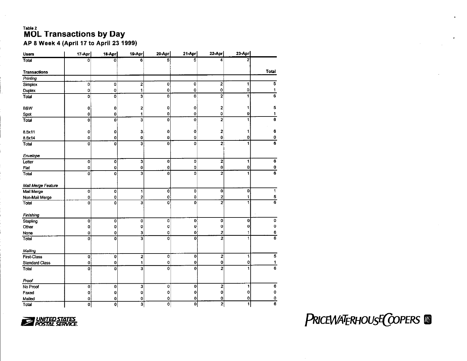# **MOL Transactions by Day**

AP 8 Week 4 (April 17 to April 23 1999)

| <b>Users</b>          | 17-Apr         | 18-Apr      | 19-Apr                  | 20-Apr                  | 21-Apr      | 22-Apr                  | $23 - Apr$   |                          |
|-----------------------|----------------|-------------|-------------------------|-------------------------|-------------|-------------------------|--------------|--------------------------|
| Total                 | 0              | ō           | 6                       | 5                       | 5           | 4                       | 2            |                          |
| <b>Transactions</b>   |                |             |                         |                         |             |                         |              | <b>Total</b>             |
| Printing              |                |             |                         |                         |             |                         |              |                          |
| Simplex               | 0              | 0           | 2                       | 0                       | 0           | $\overline{\mathbf{c}}$ | 1            | 5                        |
| Duplex                | 0              | 0           | 11                      | 0                       | 0           | 0                       | 0            | 1                        |
| Total                 | 0              | 0           | 3                       | 0                       | 0           | $\overline{\mathbf{2}}$ | 1            | 6                        |
| <b>B&amp;W</b>        | 0              | 0           | 2                       | 0                       | 0           | $\mathbf{z}$            | 1            | 5                        |
| Spot                  | 0              | 0           | 1                       | 0                       | 0           | 0                       | 0            | 1                        |
| Total                 | 0              | 0           | 3                       | 0                       | 0           | 2                       | 1            | 6                        |
| 8.5x11                | 0              | 0           | 3                       | 0                       | 0           | 2                       | 1            | 6                        |
| 8.5x14                | 0              | 0           | 0                       | 0                       | 0           | 0                       | 0            | 0                        |
| Total                 | $\overline{0}$ | 0           | 3                       | 0                       | 0           | 2                       | $\mathbf{1}$ | 6                        |
| Envelope              |                |             |                         |                         |             |                         |              |                          |
| Letter                | 0              | 0           | 3                       | 0                       | 0           | 2                       | 1            | 6                        |
| Flat                  | 0              | 0           | 0                       | 0                       | 0           | $\bf{0}$                | 0            | 0                        |
| Total                 | 0              | 0           | 3                       | 0                       | 0           | $\overline{c}$          | 1            | $\overline{6}$           |
| Mail Merge Feature    |                |             |                         |                         |             |                         |              |                          |
| Mail Merge            | 0              | 0           | 1                       | 0                       | 0           | 0                       | 0            | 1                        |
| Non-Mail Merge        | 0              | 0           | 2                       | 0                       | 0           | $\mathbf{2}$            | 1            | 5                        |
| Total                 | $\mathbf 0$    | 0           | $\overline{\mathbf{3}}$ | 0                       | 0           | 2                       | 1            | $\overline{\phantom{0}}$ |
| Finishing             |                |             |                         |                         |             |                         |              |                          |
| Stapling              | 0              | 0           | 0                       | 0                       | $\mathbf 0$ | 0                       | $\bf{0}$     | 0                        |
| Other                 | $\bf{0}$       | 0           | 0                       | 0                       | $\bf{0}$    | 0                       | $\bf{0}$     | 0                        |
| None                  | 0              | 0           | 3                       | 0                       | 0           | 2                       | 1            | 6                        |
| Total                 | 0              | 0           | 3                       | 0                       | 0           | $\overline{2}$          | 1            | 6                        |
| Mailing               |                |             |                         |                         |             |                         |              |                          |
| First-Class           | 0              | 0           | 2                       | 0                       | 0           | 2                       | 1            | 5                        |
| <b>Standard Class</b> | 0              | 0           | 1                       | 0                       | 0           | 0                       | 0            | 1                        |
| Total                 | 0              | 0           | 3                       | 0                       | $\bf{0}$    | $\overline{2}$          | 1            | 6                        |
| Proof                 |                |             |                         |                         |             |                         |              |                          |
| No Proof              | 0              | 0           | 3                       | 0                       | 0           | 2                       | 1            | 6                        |
| Faxed                 | 0              | 0           | 0                       | 0                       | 0           | 0                       | 0            | 0                        |
| Mailed                | 0              | 0           | 0                       | 0                       | 0           | 0                       | 0            | 0                        |
| Total                 | 0              | $\mathbf 0$ | 3                       | $\overline{\mathbf{0}}$ | $\mathbf 0$ | 2                       | 1            | 6                        |



PRICEWATERHOUSE COPERS &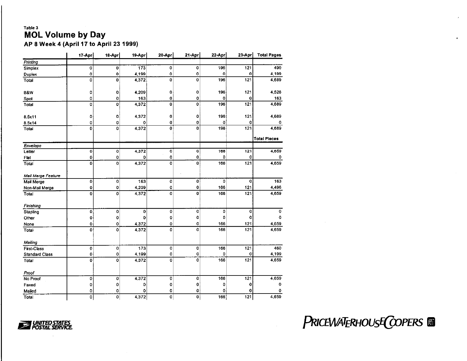#### Table 3 **MOL Volume by Day**

AP 8 Week 4 (April 17 to April 23 1999)

|                       | 17-Apr         | 18-Apr         | 19-Apr          | 20-Apr             | 21-Apr         | 22-Apr      | 23-Apr      | <b>Total Pages</b>  |
|-----------------------|----------------|----------------|-----------------|--------------------|----------------|-------------|-------------|---------------------|
| Printing              |                |                |                 |                    |                |             |             |                     |
| Simplex               | 0              | $\bf{0}$       | 173             | 0                  | 0              | 196         | 121         | 490                 |
| Duplex                | ō              | $\mathbf 0$    | 4,199           | 0                  | $\mathbf 0$    | $\mathbf 0$ | $\mathbf 0$ | 4,199               |
| Total                 | O              | $\bf{0}$       | 4372            | 0                  | $\bf{0}$       | 196         | 121         | 4,689               |
| B&W                   | 0              | 0              | 4,209           | 0                  | $\mathbf 0$    | 196         | 121         | 4,526               |
| Spot                  | $\circ$        | $\mathbf 0$    | 163             | $\mathbf 0$        | $\mathbf 0$    | O           | $\Omega$    | 163                 |
| Total                 | 0              | 0              | 4,372           | $\bf{0}$           | 0              | 196         | 121         | 4,689               |
| 8.5x11                | 0              | $\mathbf 0$    | 4 3 7 2         | $\mathbf 0$        | 0              | 196         | 121         | 4,689               |
| 8.5x14                | O              | 0              | 0               | 0                  | 0              | 0           | $\mathbf 0$ | o                   |
| Total                 | 0              | O              | 4,372           | $\mathbf 0$        | $\mathbf 0$    | 196         | 121         | 4,689               |
|                       |                |                |                 |                    |                |             |             | <b>Total Pieces</b> |
| Envelope              |                |                |                 |                    |                |             |             |                     |
| Letter                | 0              | $\mathbf 0$    | 4,372           | $\mathbf 0$        | $\mathbf 0$    | 166         | 121         | 4,659               |
| Flat                  | $\bf{0}$       | 0              | 0               | 0                  | $\bf{0}$       | 0           | 0           | 0                   |
| Total                 | $\bf{0}$       | o              | 4,372           | o                  | $\bf{0}$       | 166         | 121         | 4,659               |
| Mail Merge Feature    |                |                |                 |                    |                |             |             |                     |
| Mail Merge            | o              | 0              | 163             | $\pmb{\mathsf{O}}$ | $\overline{0}$ | 0           | $\mathbf 0$ | 163                 |
| Non-Mail Merge        | $\mathbf 0$    | 0              | 4,209           | 0                  | 0              | 166         | 121         | 4,496               |
| Total                 | $\overline{0}$ | $\overline{0}$ | 4,372           | Ō                  | $\mathbf 0$    | 166         | 121         | 4,659               |
| Finishing             |                |                |                 |                    |                |             |             |                     |
| Stapling              | 0              | 0              | 0               | 0                  | $\mathbf 0$    | 0           | 0           | 0                   |
| Other                 | 0              | 0              | 0               | 0                  | 0              | 0           | 0           | 0                   |
| None                  | 0              | 0              | 4 3 7 2         | 0                  | 0              | 166         | 121         | 4,659               |
| Total                 | 0              | 0              | 4.372           | 0                  | $\mathbf 0$    | 166         | 121         | 4,659               |
| Mailing               |                |                |                 |                    |                |             |             |                     |
| <b>First-Class</b>    | 0              | $\mathbf 0$    | $\frac{1}{173}$ | 0                  | 0              | 166         | 121         | 460                 |
| <b>Standard Class</b> | 0              | 0              | 4,199           | 0                  | 0              | 0           | 0           | 4,199               |
| Total                 | $\mathbf 0$    | 0              | 4.372           | 0                  | $\mathbf 0$    | 166         | 121         | 4,659               |
| Proof                 |                |                |                 |                    |                |             |             |                     |
| No Proof              | 0              | $\mathbf 0$    | 4,372           | 0                  | 0              | 166         | 121         | 4,659               |
| Faxed                 | o              | 0              | 0               | 0                  | 0              | 0           | 0           | 0                   |
| Mailed                | 0              | 0              | 0               | 0                  | 0              | 0           | 0           | 0                   |
| Total                 | $\overline{0}$ | 0              | 4,372           | $\mathbf 0$        | $\overline{0}$ | 166         | 121         | 4,659               |



PRICEWATERHOUSE COPERS ®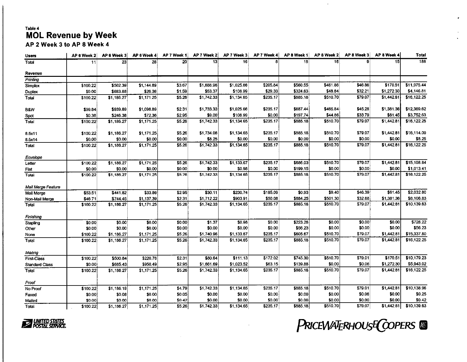#### Table 4 MOL Revenue by Week AP 2 Week 3 to AP 8 Week 4

| Users                 | AP 6 Week 2 | AP 6 Week 3 | AP 6 Week 4 | AP 7 Week 1 | AP 7 Week 2 | AP 7 Week 3 | AP 7 Week 4 | AP 8 Week 1 | AP 8 Week 2 | AP 8 Week 3 | AP 8 Week 4     | Total            |
|-----------------------|-------------|-------------|-------------|-------------|-------------|-------------|-------------|-------------|-------------|-------------|-----------------|------------------|
| Total                 | 11          | 23          | 28          | <b>20</b>   | 13          | 16          |             | 18          | 16          | ٥           | 15 <sup>1</sup> | $\overline{188}$ |
| Revenue               |             |             |             |             |             |             |             |             |             |             |                 |                  |
| Printing              |             |             |             |             |             |             |             |             |             |             |                 |                  |
| Simplex               | \$100.22    | \$502.39    | \$1,144.89  | \$3.67      | \$1,688.96  | \$1,025.66  | \$205.84    | \$560.55    | \$461.86    | \$46.86     | \$170.51        | \$11,975.44      |
| Duplex                | \$0.00      | \$683.88    | \$26.36     | \$1.59]     | \$53.37     | \$108.99    | \$29.33     | \$324.63    | \$48.84     | \$32.21     | \$1,272.30      | \$4,146.81       |
| Total                 | \$100.22    | \$1,186.27  | \$1,171.25  | \$5.26      | \$1,742.33  | \$1,134.65  | \$235.17    | \$885.18    | \$510.70    | \$79.07     | \$1,442.81      | \$16,122.25      |
| B&W                   | \$99.84     | \$939.89    | \$1,098.89  | \$2.31      | \$1,733.33  | \$1,025.66  | \$235.17    | \$687.44    | \$465.84    | \$45.28     | \$1,381.36      | \$12,369.62      |
| Spot                  | \$0.38      | \$246 38    | \$72.36     | \$2.95      | \$9.00      | \$108.99    | \$0.00      | \$197.74    | \$44.86     | \$33.79     | \$61.45         | \$3,752.63       |
| Total                 | \$100.22    | \$1,186.27  | \$1,171.25  | \$5.26      | \$1,742.33  | \$1,134.65  | \$235.17    | \$885.18    | \$510.70    | \$79.07     | \$1,442.81      | \$16,122.25      |
| 8.5x11                | \$100.22    | \$1,186.27  | \$1,171.25  | \$5.26      | \$1,734.08  | \$1,134.65  | \$235.17    | \$885.18    | \$510.70    | \$79.07     | \$1,442.81      | \$16,114.00      |
| 8.5x14                | \$0.00      | \$0.00      | \$0.00      | \$0.00      | \$8.25      | \$0.00      | \$0.00      | \$0.00      | \$0.00      | \$0.00      | \$0.00          | \$8.25           |
| Total                 | \$100.22    | \$1,186.27  | \$1,171.25  | \$5.26      | \$1,742.33  | \$1,134.65  | \$235.17    | \$885.18    | \$510.70    | \$79.07     | \$1,442.81      | \$16,122.25      |
| Envelope              |             |             |             |             |             |             |             |             |             |             |                 |                  |
| Letter                | \$100.22    | \$1,186.27  | 51,171.25   | \$5.26      | \$1,742.33  | \$1,133.67  | \$235.17    | \$686.03    | \$510.70    | \$79.07     | \$1,442.81      | \$15,108.84      |
| Flat                  | \$0.00      | \$0.00      | \$0.00      | \$0.00      | \$0.00      | \$0.98      | \$0.00      | \$199.15    | \$0.00      | \$0.00      | \$0.00          | \$1,013.41       |
| Total                 | \$100.22    | \$1,186.27  | \$1,171.25  | \$5.26      | \$1,742.33  | 51,134.65   | \$235.17    | \$885.18    | \$510.70    | \$79.07     | \$1,442.81      | \$16,122.25      |
| Mail Merge Feature    |             |             |             |             |             |             |             |             |             |             |                 |                  |
| Mail Merge            | \$53.51     | \$441.82    | \$33.86     | \$2.95      | \$30.11     | \$230.74    | \$185.09    | \$0.93      | \$9.40      | \$46.39     | \$61.45         | \$2,032.80       |
| Non-Mail Merge        | \$46.71     | \$744.45    | \$1,137.39  | \$2.31      | \$1,712.22  | \$903.91    | \$50.08     | \$884.25    | \$501.30    | \$32.68     | \$1,381.36      | \$8,106.83       |
| Total                 | \$100.22    | \$1,186.27  | \$1,171.25  | \$5.26      | \$1,742.33  | \$1,134.65  | \$235.17    | \$885.18    | \$510.70    | \$79.07     | \$1,442.81      | \$10.139.63      |
| Finishing             |             |             |             |             |             |             |             |             |             |             |                 |                  |
| Stapling              | \$0.00      | \$0.00      | 50.00       | \$0.00      | \$1.37      | \$0.98      | \$0.00      | \$223.28    | \$0.00      | \$0.00      | \$0.00          | \$728.22         |
| Other                 | \$0.00      | \$0.00      | \$0.00      | \$0.00      | \$0.00      | \$0.00      | \$0.00      | \$56.23     | \$0.00      | \$0.00      | \$0.00          | \$56.23          |
| None                  | \$100.22    | \$1,186.27  | \$1,171.25  | \$5.26      | \$1,740.96  | \$1,133.67  | \$235.17    | \$605.67    | \$510.70    | \$79.07     | \$1,442.81      | \$15,337.80      |
| Total                 | \$100.22    | \$1,186.27  | \$1,171.25  | \$5.26      | \$1,742.33  | \$1,134.65  | \$235.17    | \$885.18    | \$510.70    | \$79.07     | \$1,442.81      | \$16,122.25      |
| Mailing               |             |             |             |             |             |             |             |             |             |             |                 |                  |
| <b>First-Class</b>    | \$100.22    | \$500.84    | \$220.76    | \$2.31      | \$80.64     | \$111.13    | \$172.02    | \$745.30    | \$51070     | \$79.01     | \$170.51        | \$10 179.23      |
| <b>Standard Class</b> | \$0.00      | \$685.43    | \$950.49    | \$2.95      | \$1,661.69  | \$1,023.52  | \$63.15     | \$139.88    | \$0.00      | \$0.06      | \$1,272.30      | \$5,943.02       |
| Total                 | \$100.22    | \$1,186.27  | \$1,171.25  | \$5.26      | \$1,742.33  | \$1,134.65  | \$235.17    | \$885.18    | \$510.70    | \$79.07     | \$1,442.81      | \$16,122.25      |
| Proof                 |             |             |             |             |             |             |             |             |             |             |                 |                  |
| No Proof              | \$100.22    | \$1,186.19  | \$1,171.25  | \$4.79      | \$1,742.33  | \$1,134.65  | \$235.17    | \$885.18    | \$510.70    | \$79.01     | \$1,442.81      | \$10.138.96      |
| Faxed                 | \$0.00      | \$0.08      | \$0.00      | \$0.05      | \$0.00      | \$0.00      | \$0.00      | \$0.00      | \$0.00      | \$0.06      | \$0.00          | \$0.25           |
| Mailed                | \$0.00      | \$0.00      | \$0.00      | \$0.42      | \$0.00      | \$0.00      | \$0.00      | \$0.00      | \$0.00      | \$0.00      | \$0.00          | \$0.42           |
| Total                 | \$100.22    | \$1,186.27  | \$1,171.25  | \$5.26      | \$1,742.33  | \$1,134.65  | \$235.17    | \$885.18    | \$510.70    | \$79.07     | \$1,442.81      | \$10,139.63      |





 $\mathcal{L}_{\mathcal{A}}$ 

è.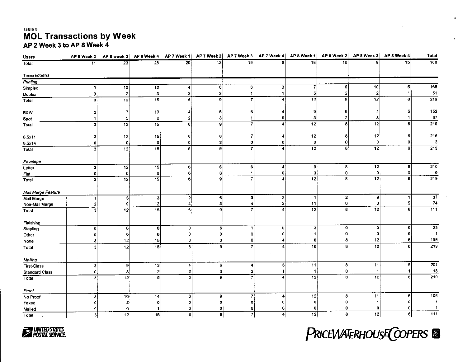#### Table 5 **MOL Transactions by Week** AP 2 Week 3 to AP 8 Week 4

| <b>Users</b>          | AP 6 Week 2             | AP 6 week $3$   |                 | $AP 6$ Week 4 $AP 7$ Week 1 | AP 7 Week 2  |                          |                      | $AP7$ Week 3 $AP7$ Week 4 $AP8$ Week 1 |                | $AP 8$ Week 2 $AP 8$ Week 3 | AP 8 Week 4    | Total            |
|-----------------------|-------------------------|-----------------|-----------------|-----------------------------|--------------|--------------------------|----------------------|----------------------------------------|----------------|-----------------------------|----------------|------------------|
| Total                 | $\overline{11}$         | 23              | 28              | 20                          | 13           | $\overline{16}$          | R.                   | 18                                     | 16             | 9                           | 15             | 188              |
| <b>Transactions</b>   |                         |                 |                 |                             |              |                          |                      |                                        |                |                             |                |                  |
| Printing              |                         |                 |                 |                             |              |                          |                      |                                        |                |                             |                |                  |
| Simplex               | 3                       | 10              | $\overline{12}$ | 4                           | 6            | 6                        | 3                    | $\overline{7}$                         | 6              | 10                          | 5 <sup>1</sup> | 168              |
| Duplex                | $\pmb{\mathsf{O}}$      | 2               | $\vert$ 3       | $\mathbf{z}$                | 3            | 1                        | -1                   | 5 <sup>1</sup>                         | 2              | $\mathbf{2}^{\circ}$        |                | 51               |
| Total                 | $\overline{\mathbf{3}}$ | 12              | 15              | 6                           | 9            | 7                        | 4                    | 12                                     | $\mathbf{B}$   | $\overline{12}$             |                | 219              |
| B&W                   | 2                       | 7               | 13              | 4                           | 6            | 6                        |                      | 9                                      | 6              |                             |                | 152              |
| Spot                  | 11                      | 5               | $\mathbf{2}$    | 2                           | 3            | -1                       | 0                    | 3                                      | 2              | 8                           |                | 67               |
| Total                 | 3 <sup>1</sup>          | 12              | $\overline{15}$ | 6                           | 9            | $\overline{7}$           | 4                    | 12                                     | 8 <sup>1</sup> | 12                          |                | 219              |
| 8.5x11                | з                       | 12              | 15              | 6                           | 6            | 7                        |                      | 12                                     | 8              | 12                          |                | 216              |
| 8.5x14                | 0                       | 0               | 0               | 0                           | 3            | 0                        | 0                    | $\mathbf{o}$                           | 0              | $\mathbf 0$                 |                | 3                |
| Total                 | $\overline{\mathbf{3}}$ | 12              | 15              | 6                           | 9            | $\overline{\phantom{a}}$ | 4                    | 12                                     | 8              | 12                          | 61             | $\overline{219}$ |
| Envelope              |                         |                 |                 |                             |              |                          |                      |                                        |                |                             |                |                  |
| Letter                | 3                       | $\overline{12}$ | 15              | 6                           | 6            | 6                        | 4                    | 9                                      | 8              | 12                          | 6              | $\overline{210}$ |
| Flat                  | 0                       | 0               | $\mathbf{0}$    | $\mathbf{o}$                | 3            | $\mathbf{1}$             | 0                    | 3                                      | 0              | 0                           | o              | 9                |
| Total                 | $\vert$ 3               | 12              | $\overline{15}$ | 6                           | 9            | $\overline{7}$           | 4                    | $\overline{12}$                        | 8              | 12                          |                | $\overline{219}$ |
| Mail Merge Feature    |                         |                 |                 |                             |              |                          |                      |                                        |                |                             |                |                  |
| Mail Merge            | $\mathbf{1}$            | 3               | 3               | 2                           | 6            | 3                        | $\overline{2}$       | $\mathbf{1}$                           | 2              | 9                           |                | 37               |
| Non-Mail Merge        | $\boldsymbol{2}$        | 9               | 12              | 4                           | 3            | 4                        | 2                    | 11                                     | 6              | з                           | 51             | 74               |
| Total                 | $\overline{\mathbf{3}}$ | 12              | 15              | 6.                          | 9            | 7                        | 4                    | $\overline{12}$                        | 8              | 12                          | 6              | $\overline{111}$ |
| Finishing             |                         |                 |                 |                             |              |                          |                      |                                        |                |                             |                |                  |
| Stapling              | $\mathbf 0$             | 0               | 0               | 0                           | $\mathbf{6}$ | $\mathbf{1}$             | $\bf{0}$             | 3                                      | 0              | 0                           | $\mathbf o$    | $\overline{23}$  |
| Other                 | 0                       | $\mathbf 0$     | 0               | ٥                           | 0            | Ω                        | 0                    |                                        | $\mathbf{0}$   | Ω                           |                | $\overline{1}$   |
| None                  | 3                       | 12              | 15              | 6                           | з            | 6                        | 4                    | 6                                      | 8              | 12                          |                | 195              |
| Total                 | 3 <sup>1</sup>          | 12              | 15              | 6                           | g            | 7                        | 4                    | 10                                     | 8              | $\overline{12}$             |                | 219              |
| Mailing               |                         |                 |                 |                             |              |                          |                      |                                        |                |                             |                |                  |
| First-Class           | 3                       | 9               | 13              | 4                           | 6            | 4                        | $\mathbf{3}$         | 11                                     | 8              | 11                          | 51             | 201              |
| <b>Standard Class</b> | 0                       | з               | $\mathbf{2}$    | 2                           | 3            | 3                        |                      | $\mathbf{1}$                           | 0              |                             |                | 18               |
| Total                 | зł                      | 12              | $\overline{15}$ | 6                           | $\bf{9}$     | $\overline{7}$           | 4                    | 12                                     | 8              | 12                          |                | $\overline{219}$ |
| Proof                 |                         |                 |                 |                             |              |                          |                      |                                        |                |                             |                |                  |
| No Proof              | 3                       | 10              | 14              | 6                           | 9            | 7                        | 4                    | 12                                     | 8              | 11                          | 6              | 106              |
| Faxed                 | 0                       | 2               | 0               | 0                           | 0            | 0                        | 0                    | 0                                      | ٥              |                             |                | 4                |
| Mailed                | 0                       | 0               |                 | 0                           | 0            | 0                        | 0                    | 0                                      | 0              | 0                           | 0              | $\overline{1}$   |
| Total<br>$\bullet$    | 3                       | 12              | $\overline{15}$ | 6                           | $\pmb{9}$    | $\overline{7}$           | $\blacktriangleleft$ | 12                                     | $\mathbf{8}$   | 12                          | $\mathbf{e}$   | 111              |



PRICEWATERHOUSE COPERS &